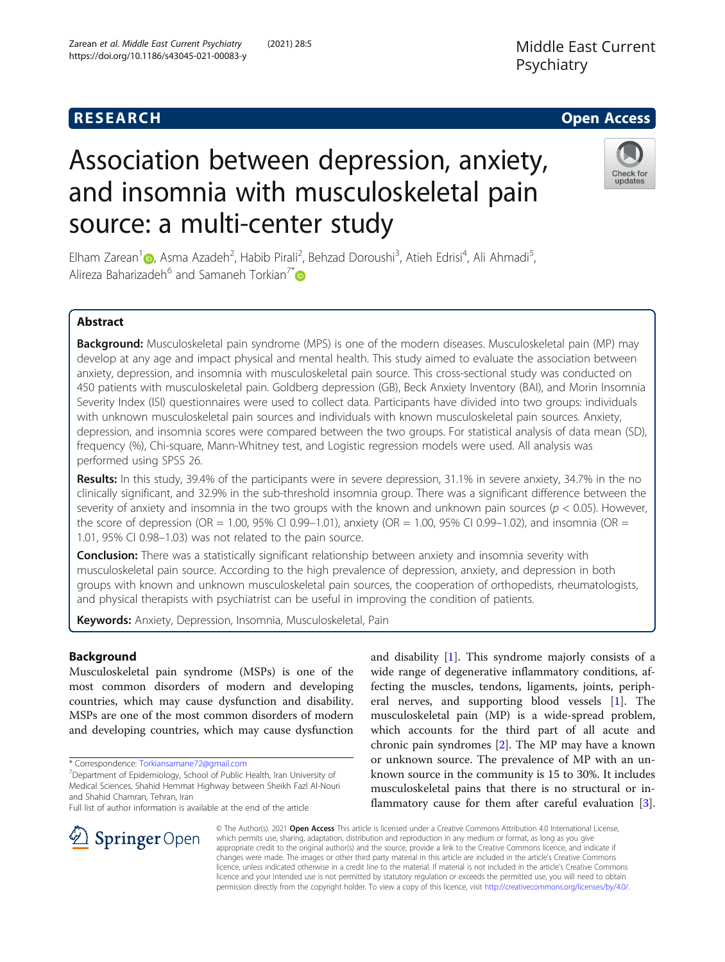# Association between depression, anxiety, and insomnia with musculoskeletal pain source: a multi-center study

Elham Zarean<sup>1</sup> (b[,](https://orcid.org/0000-0001-7294-6709) Asma Azadeh<sup>2</sup>, Habib Pirali<sup>2</sup>, Behzad Doroushi<sup>3</sup>, Atieh Edrisi<sup>4</sup>, Ali Ahmadi<sup>5</sup> , Alireza Baharizadeh<sup>6</sup> and Samaneh Torkian<sup>7[\\*](http://orcid.org/0000-0002-7913-2801)</sup>

# Abstract

Background: Musculoskeletal pain syndrome (MPS) is one of the modern diseases. Musculoskeletal pain (MP) may develop at any age and impact physical and mental health. This study aimed to evaluate the association between anxiety, depression, and insomnia with musculoskeletal pain source. This cross-sectional study was conducted on 450 patients with musculoskeletal pain. Goldberg depression (GB), Beck Anxiety Inventory (BAI), and Morin Insomnia Severity Index (ISI) questionnaires were used to collect data. Participants have divided into two groups: individuals with unknown musculoskeletal pain sources and individuals with known musculoskeletal pain sources. Anxiety, depression, and insomnia scores were compared between the two groups. For statistical analysis of data mean (SD), frequency (%), Chi-square, Mann-Whitney test, and Logistic regression models were used. All analysis was performed using SPSS 26.

Results: In this study, 39.4% of the participants were in severe depression, 31.1% in severe anxiety, 34.7% in the no clinically significant, and 32.9% in the sub-threshold insomnia group. There was a significant difference between the severity of anxiety and insomnia in the two groups with the known and unknown pain sources ( $p < 0.05$ ). However, the score of depression (OR = 1.00, 95% CI 0.99–1.01), anxiety (OR = 1.00, 95% CI 0.99–1.02), and insomnia (OR = 1.01, 95% CI 0.98–1.03) was not related to the pain source.

**Conclusion:** There was a statistically significant relationship between anxiety and insomnia severity with musculoskeletal pain source. According to the high prevalence of depression, anxiety, and depression in both groups with known and unknown musculoskeletal pain sources, the cooperation of orthopedists, rheumatologists, and physical therapists with psychiatrist can be useful in improving the condition of patients.

Keywords: Anxiety, Depression, Insomnia, Musculoskeletal, Pain

# Background

Musculoskeletal pain syndrome (MSPs) is one of the most common disorders of modern and developing countries, which may cause dysfunction and disability. MSPs are one of the most common disorders of modern and developing countries, which may cause dysfunction

\* Correspondence: [Torkiansamane72@gmail.com](mailto:Torkiansamane72@gmail.com) <sup>7</sup>

SpringerOpen

Full list of author information is available at the end of the article

and disability [\[1](#page-7-0)]. This syndrome majorly consists of a wide range of degenerative inflammatory conditions, affecting the muscles, tendons, ligaments, joints, peripheral nerves, and supporting blood vessels [[1\]](#page-7-0). The musculoskeletal pain (MP) is a wide-spread problem, which accounts for the third part of all acute and chronic pain syndromes [\[2](#page-7-0)]. The MP may have a known or unknown source. The prevalence of MP with an unknown source in the community is 15 to 30%. It includes musculoskeletal pains that there is no structural or inflammatory cause for them after careful evaluation [\[3](#page-7-0)].

© The Author(s). 2021 Open Access This article is licensed under a Creative Commons Attribution 4.0 International License, which permits use, sharing, adaptation, distribution and reproduction in any medium or format, as long as you give appropriate credit to the original author(s) and the source, provide a link to the Creative Commons licence, and indicate if changes were made. The images or other third party material in this article are included in the article's Creative Commons licence, unless indicated otherwise in a credit line to the material. If material is not included in the article's Creative Commons licence and your intended use is not permitted by statutory regulation or exceeds the permitted use, you will need to obtain permission directly from the copyright holder. To view a copy of this licence, visit <http://creativecommons.org/licenses/by/4.0/>.







Department of Epidemiology, School of Public Health, Iran University of Medical Sciences, Shahid Hemmat Highway between Sheikh Fazl Al-Nouri and Shahid Chamran, Tehran, Iran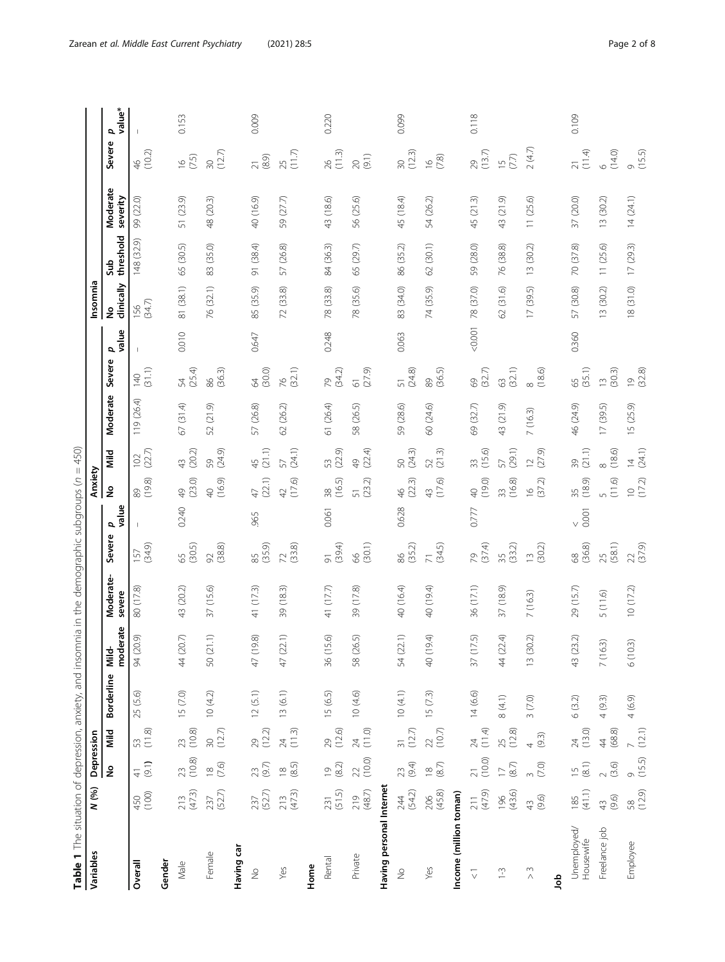<span id="page-1-0"></span>

| Table 1 The situation of depression, anxiety, and insomnia in the demographic subgroups ( $n = 450$ )<br>Variables | N (%)                | Depression                                                                          |                         |                   |                           |                     |                               |            | Anxiety                 |                          |            |                          |            | Insomnia                        |                         |                      |                           |             |
|--------------------------------------------------------------------------------------------------------------------|----------------------|-------------------------------------------------------------------------------------|-------------------------|-------------------|---------------------------|---------------------|-------------------------------|------------|-------------------------|--------------------------|------------|--------------------------|------------|---------------------------------|-------------------------|----------------------|---------------------------|-------------|
|                                                                                                                    |                      | ş                                                                                   | Mild                    | <b>Borderline</b> | moderate<br>Mild-         | Moderate-<br>severe | Severe                        | p<br>value | $\frac{6}{2}$           | Mild                     | Moderate   | Severe                   | value<br>p | dinically<br>$\hat{\mathbf{z}}$ | threshold<br><b>Sub</b> | Moderate<br>severity | Severe                    | value*<br>p |
| Overall                                                                                                            | $450$<br>(100)       | $rac{1}{4}$                                                                         | 53<br>(11.8)            | 25 (5.6)          | 94 (20.9)                 | 80 (17.8)           | 157<br>(34.9)                 |            | 89<br>(19.8)            | $102$<br>(22.7)          | 119 (26.4) | (31.1)<br>140            |            | $156$<br>(34.7)                 | 148 (32.9)              | 99 (22.0)            | 46<br>(10.2)              |             |
| Gender                                                                                                             |                      |                                                                                     |                         |                   |                           |                     |                               |            |                         |                          |            |                          |            |                                 |                         |                      |                           |             |
| Male                                                                                                               | $213$<br>(47.3)      | $\frac{23}{(10.8)}$                                                                 | $\frac{23}{(10.8)}$     | 15(7.0)           | (20.7)<br>$\overline{4}$  | 43 (20.2)           | (30.5)<br>65                  | 0.240      | (23.0)<br>$\frac{6}{4}$ | (20.2)<br>$\frac{4}{3}$  | 67 (31.4)  | (25.4)<br>54             | 0.010      | 81 (38.1)                       | 65 (30.5)               | 51 (23.9)            | (7.5)<br>$\frac{1}{2}$    | 0.153       |
| Female                                                                                                             | 237<br>(52.7)        |                                                                                     | $\frac{30}{(12.7)}$     | 10(4.2)           | 50(21.1)                  | 37 (15.6)           | 92<br>(38.8)                  |            | (16.9)<br>$rac{1}{4}$   | 59<br>(24.9)             | 52 (21.9)  | 86<br>(36.3)             |            | 76 (32.1)                       | 83 (35.0)               | 48 (20.3)            | $30$<br>(12.7)            |             |
| Having car                                                                                                         |                      |                                                                                     |                         |                   |                           |                     |                               |            |                         |                          |            |                          |            |                                 |                         |                      |                           |             |
| $\stackrel{\circ}{\geq}$                                                                                           | 237<br>(52.7)        | 23<br>(9.7)                                                                         | $29$<br>(12.2)          | 12(5.1)           | 47 (19.8)                 | 41 (17.3)           | 85<br>(35.9)                  | 965        | (22.1)                  | (21.1)<br>45             | 57 (26.8)  | (30.0)<br>64             | 0.647      | 85 (35.9)                       | 91 (38.4)               | 40 (16.9)            | (8.9)<br>$\overline{z}$   | 0.009       |
| Yes                                                                                                                | $213$<br>(47.3)      | $\frac{18}{(8.5)}$                                                                  | $\frac{24}{(11.3)}$     | 13(6.1)           | 47 (22.1)                 | 39 (18.3)           | $72$<br>(33.8)                |            | (17.6)<br>42            | (24.1)<br>57             | 62 (26.2)  | (32.1)<br>76             |            | 72 (33.8)                       | 57 (26.8)               | 59 (27.7)            | (11.7)<br>25              |             |
| Home                                                                                                               |                      |                                                                                     |                         |                   |                           |                     |                               |            |                         |                          |            |                          |            |                                 |                         |                      |                           |             |
| Rental                                                                                                             | 231<br>(51.5)        | $\overset{\text{\normalsize{[0,0]}}}{=}\overset{\text{\normalsize{[0,0]}}}{=}\quad$ | 29<br>(12.6)            | 15 (6.5)          | 36 (15.6)                 | 41 (17.7)           | (39.4)<br>$\overline{\sigma}$ | 0.061      | (16.5)<br>38            | (22.9)<br>53             | 61 (26.4)  | (34.2)<br>79             | 0.248      | 78 (33.8)                       | 84 (36.3)               | 43 (18.6)            | (11.3)<br>$\frac{8}{2}$   | 0.220       |
| Private                                                                                                            | $219$<br>(48.7)      | $\frac{22}{(10.0)}$                                                                 | $^{24}$ (11.0)          | 10(4.6)           | 58 (26.5)                 | 39 (17.8)           | 66<br>(30.1)                  |            | (23.2)<br>51            | (22.4)<br>$\overline{Q}$ | 58 (26.5)  | (27.9)<br>$\overline{6}$ |            | 78 (35.6)                       | 65 (29.7)               | 56 (25.6)            | $\frac{20}{(9.1)}$        |             |
| Having personal Internet                                                                                           |                      |                                                                                     |                         |                   |                           |                     |                               |            |                         |                          |            |                          |            |                                 |                         |                      |                           |             |
| $\frac{1}{2}$                                                                                                      | 244<br>(54.2)        | 23<br>(9.4)                                                                         | $\frac{31}{(12.7)}$     | 10(4.1)           | (22.1)<br>54              | 40 (16.4)           | 86<br>(35.2)                  | 0.628      | (22.3)<br>$\frac{4}{6}$ | (24.3)<br>50             | 59 (28.6)  | 51<br>(24.8)             | 0.063      | 83 (34.0)                       | 86 (35.2)               | 45 (18.4)            | $\frac{30}{(12.3)}$       | 0.099       |
| Yes                                                                                                                | (45.8)<br>206        | $\overset{\text{\tiny{(8)}}}{\approx}$                                              | $\frac{22}{(10.7)}$     | 15(7.3)           | 40 (19.4)                 | 40 (19.4)           | 71<br>(34.5)                  |            | (17.6)<br>43            | (21.3)<br>52             | 60 (24.6)  | (36.5)<br>$88$           |            | 74 (35.9)                       | 62 (30.1)               | 54 (26.2)            | $(7.8)$<br>$\frac{1}{2}$  |             |
| Income (million toman)                                                                                             |                      |                                                                                     |                         |                   |                           |                     |                               |            |                         |                          |            |                          |            |                                 |                         |                      |                           |             |
| $\vee$                                                                                                             | $211$<br>(47.9)      | $\frac{21}{(10.0)}$                                                                 | $24$<br>(11.4)          | 14(6.6)           | (17.5)<br>$\overline{57}$ | 36 (17.1)           | (37.4)<br>79                  | 0.777      | (19.0)<br>$\frac{1}{2}$ | (15.6)<br>33             | 69 (32.7)  | (32.7)<br>69             | 10000      | 78 (37.0)                       | 59 (28.0)               | 45 (21.3)            | (13.7)<br>29              | 0.118       |
| $\sqrt{1}$                                                                                                         | $196$<br>(43.6)      | $\frac{17}{(8.7)}$                                                                  | 25<br>(12.8)            | 8(4.1)            | 44 (22.4)                 | 37 (18.9)           | 35<br>(33.2)                  |            | (16.8)<br>33            | (29.1)<br>57             | 43 (21.9)  | 63<br>(32.1)             |            | 62 (31.6)                       | 76 (38.8)               | 43 (21.9)            | (7.7)<br>$\overline{5}$   |             |
| $\stackrel{\sim}{\wedge}$                                                                                          | (9.6)<br>43          | $(7.0)$                                                                             | (9.3)                   | 3(7.0)            | (30.2)<br>$\frac{1}{2}$   | 7(16.3)             | (30.2)<br>$\frac{1}{2}$       |            | (37.2)<br>$\frac{6}{2}$ | (27.9)<br>$\overline{C}$ | 7(16.3)    | (18.6)<br>$\infty$       |            | 17 (39.5)                       | 13 (30.2)               | 11 (25.6)            | 2(4.7)                    |             |
| do                                                                                                                 |                      |                                                                                     |                         |                   |                           |                     |                               |            |                         |                          |            |                          |            |                                 |                         |                      |                           |             |
| Unemployed/<br>Housewife                                                                                           | $\frac{185}{(41.1)}$ | $\begin{array}{c} 15 \\ 20 \\ 15 \end{array}$                                       | 24<br>(13.0)            | 6(3.2)            | 43 (23.2)                 | 29 (15.7)           | (36.8)<br>68                  | 0.001      | (18.9)<br>35            | (21.1)<br>39             | 46 (24.9)  | (35.1)<br>65             | 0.360      | (30.8)<br>57                    | 70 (37.8)               | 37 (20.0)            | (11.4)<br>$\overline{21}$ | 0.109       |
| Freelance job                                                                                                      | (9.6)<br>43          | $\begin{array}{c} 2 \\ 3.6 \end{array}$                                             | (68.8)<br>$\frac{4}{5}$ | 4(9.3)            | 6.3)<br>$\sum_{i=1}^{n}$  | 5(11.6)             | $25$<br>(58.1)                |            | (11.6)                  | (18.6)                   | 17 (39.5)  | $13$<br>(30.3)           |            | 13 (30.2)                       | 11 (25.6)               | 13 (30.2)            | (14.0)<br>$\circ$         |             |
| Employee                                                                                                           | 58<br>(12.9)         | (15.5)                                                                              | (12.1)                  | 4(6.9)            | 0.3)<br>$\frac{1}{6}$     | 10(17.2)            | 22<br>(37.9)                  |            | (17.2)<br>$\subseteq$   | (24.1)                   | 15 (25.9)  | $19$<br>(32.8)           |            | 18 (31.0)                       | 17(29.3)                | 14(24.1)             | 9<br>(155)                |             |

 $\geq$ È  $\frac{1}{\tau}$  $\frac{1}{2}$  $\cdot$ <sup>5</sup> - 4 ्रं  $\frac{1}{2}$ Ŕ ے<br>ج  $\cdot$ 手  $\overline{\mathbf{r}}$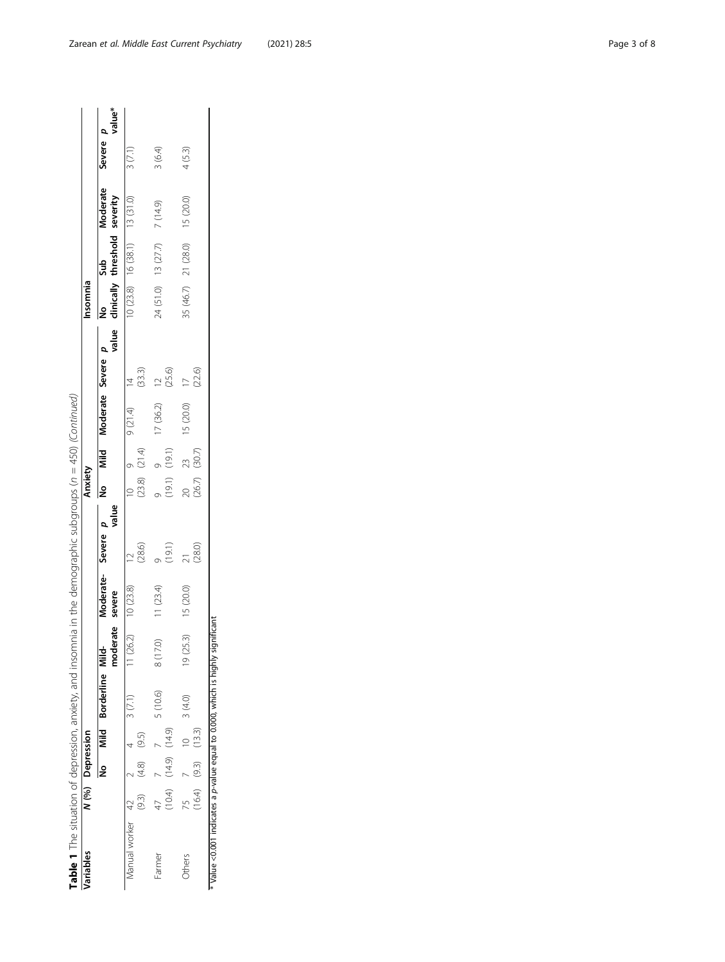| Table 1 The situation of depression, anxiety, and insomnia in the demographic subgroups ( $n = 450$ ) (Continued)<br>Variables | $N(96)$ Depression |                  |                   |                        |                 |                      |        | Anxiety |                   |                                      |                                                                                                | Insomnia |                                     |                                           |          |
|--------------------------------------------------------------------------------------------------------------------------------|--------------------|------------------|-------------------|------------------------|-----------------|----------------------|--------|---------|-------------------|--------------------------------------|------------------------------------------------------------------------------------------------|----------|-------------------------------------|-------------------------------------------|----------|
|                                                                                                                                |                    |                  |                   | No Mild Borderline Mil | moderate severe |                      |        |         |                   |                                      | Id- Moderate- Severe p No Mild Moderate Severe p No Sub Moderate<br>oderate severe value value |          | value clinically threshold severity |                                           | Severe p |
| Manual worker $42$ $4$ $3(7.1)$                                                                                                | (9.3)              | $(4.8)$ $(9.5)$  |                   |                        |                 | $(26.2)$ 10 $(23.8)$ | (28.6) |         | $(23.8)$ $(21.4)$ | $-10$ 9 9 9 14                       | (33.3)                                                                                         |          |                                     | $10(23.8)$ $16(38.1)$ $13(31.0)$ $3(7.1)$ |          |
| armer                                                                                                                          | (10.4)             | $\overline{a}$   | $(14.9)$ $(14.9)$ | $7 \quad 5(10.6)$      |                 | $(7.0)$ 11 $(23.4)$  | (19.1) |         | (19.1) (19.1)     | $17(36.2)$ 12                        | (25.6)                                                                                         |          | 24 (51.0) 13 (27.7) 7 (14.9)        |                                           | 3 (6.4)  |
| <b>Others</b>                                                                                                                  | (16.4)             | $(9.3)$ $(13.3)$ |                   | $7 \t10 \t3(4.0)$      |                 | $(25.3)$ 15 $(20.0)$ | (28.0) |         |                   | $20$ $23$ 15 (20.0)<br>(26.7) (30.7) | (22.6)<br>$\frac{1}{2}$                                                                        |          | 35 (46.7) 21 (28.0) 15 (20.0)       |                                           | 4(5.3)   |

\* Value <0.001 indicates a p-value equal to 0.000, which is highly significant \* Value <0.001 indicates a p-value equal to 0.000, which is highly significant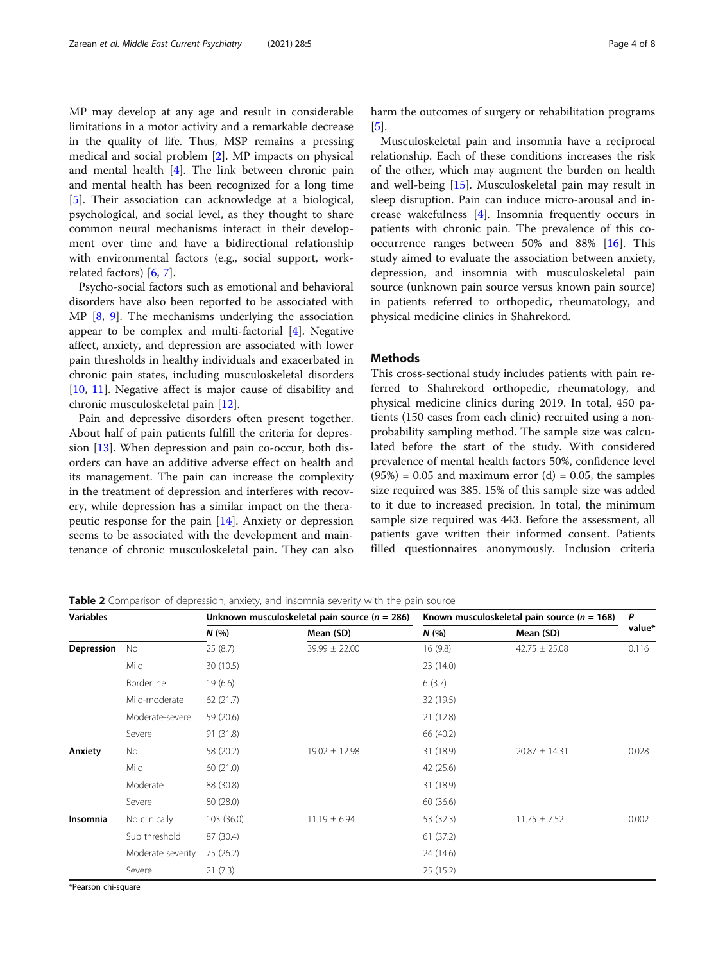<span id="page-3-0"></span>MP may develop at any age and result in considerable limitations in a motor activity and a remarkable decrease in the quality of life. Thus, MSP remains a pressing medical and social problem [\[2](#page-7-0)]. MP impacts on physical and mental health [[4](#page-7-0)]. The link between chronic pain and mental health has been recognized for a long time [[5\]](#page-7-0). Their association can acknowledge at a biological, psychological, and social level, as they thought to share common neural mechanisms interact in their development over time and have a bidirectional relationship with environmental factors (e.g., social support, workrelated factors) [\[6](#page-7-0), [7](#page-7-0)].

Psycho-social factors such as emotional and behavioral disorders have also been reported to be associated with MP [[8,](#page-7-0) [9](#page-7-0)]. The mechanisms underlying the association appear to be complex and multi-factorial [\[4](#page-7-0)]. Negative affect, anxiety, and depression are associated with lower pain thresholds in healthy individuals and exacerbated in chronic pain states, including musculoskeletal disorders [[10,](#page-7-0) [11](#page-7-0)]. Negative affect is major cause of disability and chronic musculoskeletal pain [[12\]](#page-7-0).

Pain and depressive disorders often present together. About half of pain patients fulfill the criteria for depression [[13\]](#page-7-0). When depression and pain co-occur, both disorders can have an additive adverse effect on health and its management. The pain can increase the complexity in the treatment of depression and interferes with recovery, while depression has a similar impact on the therapeutic response for the pain [[14](#page-7-0)]. Anxiety or depression seems to be associated with the development and maintenance of chronic musculoskeletal pain. They can also harm the outcomes of surgery or rehabilitation programs [[5\]](#page-7-0).

Musculoskeletal pain and insomnia have a reciprocal relationship. Each of these conditions increases the risk of the other, which may augment the burden on health and well-being [[15\]](#page-7-0). Musculoskeletal pain may result in sleep disruption. Pain can induce micro-arousal and increase wakefulness [\[4](#page-7-0)]. Insomnia frequently occurs in patients with chronic pain. The prevalence of this cooccurrence ranges between 50% and 88% [[16\]](#page-7-0). This study aimed to evaluate the association between anxiety, depression, and insomnia with musculoskeletal pain source (unknown pain source versus known pain source) in patients referred to orthopedic, rheumatology, and physical medicine clinics in Shahrekord.

# **Methods**

This cross-sectional study includes patients with pain referred to Shahrekord orthopedic, rheumatology, and physical medicine clinics during 2019. In total, 450 patients (150 cases from each clinic) recruited using a nonprobability sampling method. The sample size was calculated before the start of the study. With considered prevalence of mental health factors 50%, confidence level  $(95%) = 0.05$  and maximum error (d) = 0.05, the samples size required was 385. 15% of this sample size was added to it due to increased precision. In total, the minimum sample size required was 443. Before the assessment, all patients gave written their informed consent. Patients filled questionnaires anonymously. Inclusion criteria

Table 2 Comparison of depression, anxiety, and insomnia severity with the pain source

| <b>Variables</b>         |                   |            | Unknown musculoskeletal pain source ( $n = 286$ ) |           | Known musculoskeletal pain source ( $n = 168$ ) | P      |
|--------------------------|-------------------|------------|---------------------------------------------------|-----------|-------------------------------------------------|--------|
|                          |                   | N(%        | Mean (SD)                                         | N(%       | Mean (SD)                                       | value* |
| Depression               | <b>No</b>         | 25(8.7)    | $39.99 \pm 22.00$                                 | 16(9.8)   | $42.75 \pm 25.08$                               | 0.116  |
|                          | Mild              | 30(10.5)   |                                                   | 23 (14.0) |                                                 |        |
|                          | Borderline        | 19(6.6)    |                                                   | 6(3.7)    |                                                 |        |
|                          | Mild-moderate     | 62(21.7)   |                                                   | 32 (19.5) |                                                 |        |
|                          | Moderate-severe   | 59 (20.6)  |                                                   | 21(12.8)  |                                                 |        |
|                          | Severe            | 91 (31.8)  |                                                   | 66 (40.2) |                                                 |        |
| Anxiety                  | No                | 58 (20.2)  | $19.02 \pm 12.98$                                 | 31 (18.9) | $20.87 \pm 14.31$                               | 0.028  |
|                          | Mild              | 60 (21.0)  |                                                   | 42 (25.6) |                                                 |        |
|                          | Moderate          | 88 (30.8)  |                                                   | 31 (18.9) |                                                 |        |
|                          | Severe            | 80 (28.0)  |                                                   | 60(36.6)  |                                                 |        |
| Insomnia                 | No clinically     | 103 (36.0) | $11.19 \pm 6.94$                                  | 53 (32.3) | $11.75 \pm 7.52$                                | 0.002  |
|                          | Sub threshold     | 87 (30.4)  |                                                   | 61(37.2)  |                                                 |        |
|                          | Moderate severity | 75 (26.2)  |                                                   | 24 (14.6) |                                                 |        |
|                          | Severe            | 21(7.3)    |                                                   | 25(15.2)  |                                                 |        |
| $\mathbf{v}$<br>$\cdots$ |                   |            |                                                   |           |                                                 |        |

\*Pearson chi-square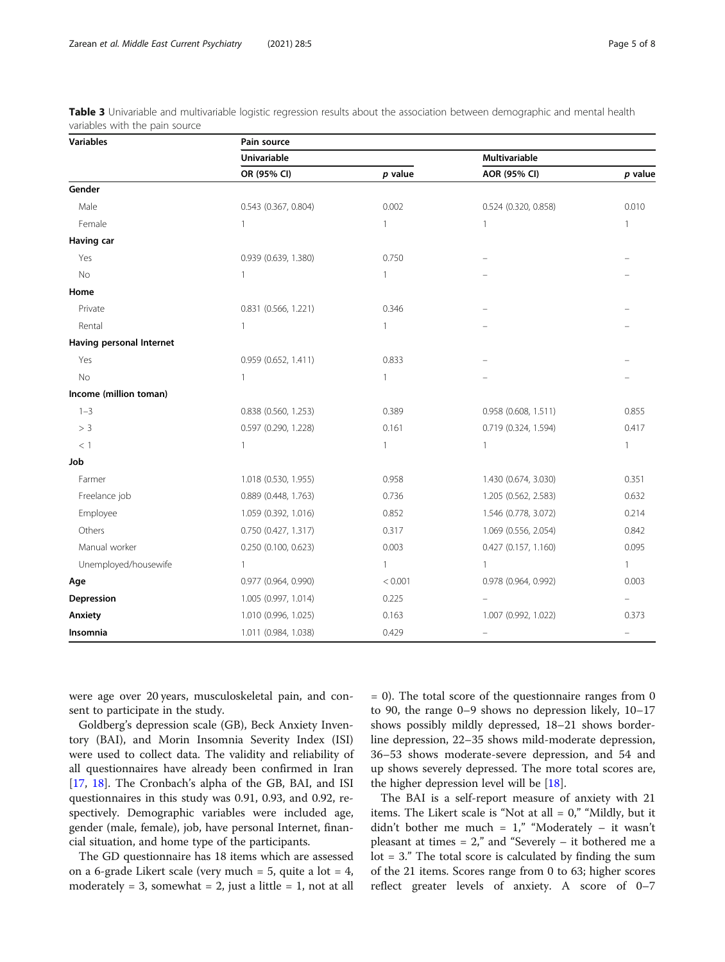<span id="page-4-0"></span>Table 3 Univariable and multivariable logistic regression results about the association between demographic and mental health variables with the pain source

| <b>Variables</b>         | Pain source          |              |                      |              |
|--------------------------|----------------------|--------------|----------------------|--------------|
|                          | <b>Univariable</b>   |              | Multivariable        |              |
|                          | OR (95% CI)          | $p$ value    | AOR (95% CI)         | p value      |
| Gender                   |                      |              |                      |              |
| Male                     | 0.543 (0.367, 0.804) | 0.002        | 0.524 (0.320, 0.858) | 0.010        |
| Female                   | $\mathbf{1}$         | $\mathbf{1}$ | 1                    | $\mathbf{1}$ |
| Having car               |                      |              |                      |              |
| Yes                      | 0.939 (0.639, 1.380) | 0.750        |                      |              |
| No                       | 1                    | $\mathbf{1}$ |                      |              |
| Home                     |                      |              |                      |              |
| Private                  | 0.831 (0.566, 1.221) | 0.346        |                      |              |
| Rental                   | 1                    | $\mathbf{1}$ |                      |              |
| Having personal Internet |                      |              |                      |              |
| Yes                      | 0.959 (0.652, 1.411) | 0.833        |                      |              |
| <b>No</b>                | $\mathbf{1}$         | $\mathbf{1}$ |                      |              |
| Income (million toman)   |                      |              |                      |              |
| $1 - 3$                  | 0.838 (0.560, 1.253) | 0.389        | 0.958 (0.608, 1.511) | 0.855        |
| > 3                      | 0.597 (0.290, 1.228) | 0.161        | 0.719 (0.324, 1.594) | 0.417        |
| $<$ 1                    | $\mathbf{1}$         | $\mathbf{1}$ | 1                    | $\mathbf{1}$ |
| Job                      |                      |              |                      |              |
| Farmer                   | 1.018 (0.530, 1.955) | 0.958        | 1.430 (0.674, 3.030) | 0.351        |
| Freelance job            | 0.889 (0.448, 1.763) | 0.736        | 1.205 (0.562, 2.583) | 0.632        |
| Employee                 | 1.059 (0.392, 1.016) | 0.852        | 1.546 (0.778, 3.072) | 0.214        |
| Others                   | 0.750 (0.427, 1.317) | 0.317        | 1.069 (0.556, 2.054) | 0.842        |
| Manual worker            | 0.250 (0.100, 0.623) | 0.003        | 0.427 (0.157, 1.160) | 0.095        |
| Unemployed/housewife     | 1                    | $\mathbf{1}$ | $\mathbf{1}$         | $\mathbf{1}$ |
| Age                      | 0.977 (0.964, 0.990) | < 0.001      | 0.978 (0.964, 0.992) | 0.003        |
| Depression               | 1.005 (0.997, 1.014) | 0.225        |                      |              |
| Anxiety                  | 1.010 (0.996, 1.025) | 0.163        | 1.007 (0.992, 1.022) | 0.373        |
| Insomnia                 | 1.011 (0.984, 1.038) | 0.429        | -                    |              |

were age over 20 years, musculoskeletal pain, and consent to participate in the study.

Goldberg's depression scale (GB), Beck Anxiety Inventory (BAI), and Morin Insomnia Severity Index (ISI) were used to collect data. The validity and reliability of all questionnaires have already been confirmed in Iran [[17,](#page-7-0) [18](#page-7-0)]. The Cronbach's alpha of the GB, BAI, and ISI questionnaires in this study was 0.91, 0.93, and 0.92, respectively. Demographic variables were included age, gender (male, female), job, have personal Internet, financial situation, and home type of the participants.

The GD questionnaire has 18 items which are assessed on a 6-grade Likert scale (very much  $= 5$ , quite a lot  $= 4$ , moderately = 3, somewhat = 2, just a little = 1, not at all

 $= 0$ ). The total score of the questionnaire ranges from 0 to 90, the range 0–9 shows no depression likely, 10–17 shows possibly mildly depressed, 18–21 shows borderline depression, 22–35 shows mild-moderate depression, 36–53 shows moderate-severe depression, and 54 and up shows severely depressed. The more total scores are, the higher depression level will be [\[18](#page-7-0)].

The BAI is a self-report measure of anxiety with 21 items. The Likert scale is "Not at all = 0," "Mildly, but it didn't bother me much =  $1$ ," "Moderately - it wasn't pleasant at times =  $2$ ," and "Severely – it bothered me a lot = 3." The total score is calculated by finding the sum of the 21 items. Scores range from 0 to 63; higher scores reflect greater levels of anxiety. A score of 0–7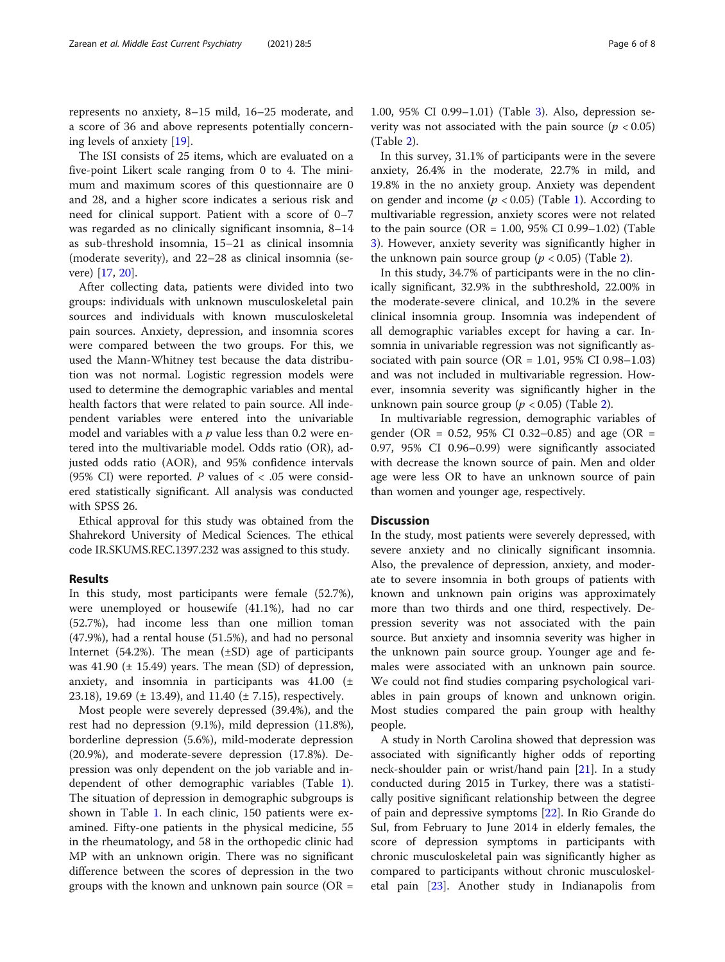represents no anxiety, 8–15 mild, 16–25 moderate, and a score of 36 and above represents potentially concerning levels of anxiety [[19](#page-7-0)].

The ISI consists of 25 items, which are evaluated on a five-point Likert scale ranging from 0 to 4. The minimum and maximum scores of this questionnaire are 0 and 28, and a higher score indicates a serious risk and need for clinical support. Patient with a score of 0–7 was regarded as no clinically significant insomnia, 8–14 as sub-threshold insomnia, 15–21 as clinical insomnia (moderate severity), and 22–28 as clinical insomnia (severe) [[17,](#page-7-0) [20\]](#page-7-0).

After collecting data, patients were divided into two groups: individuals with unknown musculoskeletal pain sources and individuals with known musculoskeletal pain sources. Anxiety, depression, and insomnia scores were compared between the two groups. For this, we used the Mann-Whitney test because the data distribution was not normal. Logistic regression models were used to determine the demographic variables and mental health factors that were related to pain source. All independent variables were entered into the univariable model and variables with a  $p$  value less than 0.2 were entered into the multivariable model. Odds ratio (OR), adjusted odds ratio (AOR), and 95% confidence intervals (95% CI) were reported. P values of  $< .05$  were considered statistically significant. All analysis was conducted with SPSS 26.

Ethical approval for this study was obtained from the Shahrekord University of Medical Sciences. The ethical code IR.SKUMS.REC.1397.232 was assigned to this study.

# Results

In this study, most participants were female (52.7%), were unemployed or housewife (41.1%), had no car (52.7%), had income less than one million toman (47.9%), had a rental house (51.5%), and had no personal Internet (54.2%). The mean  $(\pm SD)$  age of participants was  $41.90 \ (\pm 15.49)$  years. The mean (SD) of depression, anxiety, and insomnia in participants was  $41.00$  ( $\pm$ 23.18), 19.69 (± 13.49), and 11.40 (± 7.15), respectively.

Most people were severely depressed (39.4%), and the rest had no depression (9.1%), mild depression (11.8%), borderline depression (5.6%), mild-moderate depression (20.9%), and moderate-severe depression (17.8%). Depression was only dependent on the job variable and independent of other demographic variables (Table [1](#page-1-0)). The situation of depression in demographic subgroups is shown in Table [1.](#page-1-0) In each clinic, 150 patients were examined. Fifty-one patients in the physical medicine, 55 in the rheumatology, and 58 in the orthopedic clinic had MP with an unknown origin. There was no significant difference between the scores of depression in the two groups with the known and unknown pain source (OR =

1.00, 95% CI 0.99–1.01) (Table [3\)](#page-4-0). Also, depression severity was not associated with the pain source ( $p < 0.05$ ) (Table [2\)](#page-3-0).

In this survey, 31.1% of participants were in the severe anxiety, 26.4% in the moderate, 22.7% in mild, and 19.8% in the no anxiety group. Anxiety was dependent on gender and income ( $p < 0.05$ ) (Table [1](#page-1-0)). According to multivariable regression, anxiety scores were not related to the pain source (OR =  $1.00$ , 95% CI 0.99-1.02) (Table [3\)](#page-4-0). However, anxiety severity was significantly higher in the unknown pain source group ( $p < 0.05$ ) (Table [2\)](#page-3-0).

In this study, 34.7% of participants were in the no clinically significant, 32.9% in the subthreshold, 22.00% in the moderate-severe clinical, and 10.2% in the severe clinical insomnia group. Insomnia was independent of all demographic variables except for having a car. Insomnia in univariable regression was not significantly associated with pain source ( $OR = 1.01$ , 95% CI 0.98-1.03) and was not included in multivariable regression. However, insomnia severity was significantly higher in the unknown pain source group ( $p < 0.05$ ) (Table [2\)](#page-3-0).

In multivariable regression, demographic variables of gender (OR = 0.52, 95% CI 0.32–0.85) and age (OR = 0.97, 95% CI 0.96–0.99) were significantly associated with decrease the known source of pain. Men and older age were less OR to have an unknown source of pain than women and younger age, respectively.

# **Discussion**

In the study, most patients were severely depressed, with severe anxiety and no clinically significant insomnia. Also, the prevalence of depression, anxiety, and moderate to severe insomnia in both groups of patients with known and unknown pain origins was approximately more than two thirds and one third, respectively. Depression severity was not associated with the pain source. But anxiety and insomnia severity was higher in the unknown pain source group. Younger age and females were associated with an unknown pain source. We could not find studies comparing psychological variables in pain groups of known and unknown origin. Most studies compared the pain group with healthy people.

A study in North Carolina showed that depression was associated with significantly higher odds of reporting neck-shoulder pain or wrist/hand pain [\[21](#page-7-0)]. In a study conducted during 2015 in Turkey, there was a statistically positive significant relationship between the degree of pain and depressive symptoms [[22\]](#page-7-0). In Rio Grande do Sul, from February to June 2014 in elderly females, the score of depression symptoms in participants with chronic musculoskeletal pain was significantly higher as compared to participants without chronic musculoskeletal pain [\[23](#page-7-0)]. Another study in Indianapolis from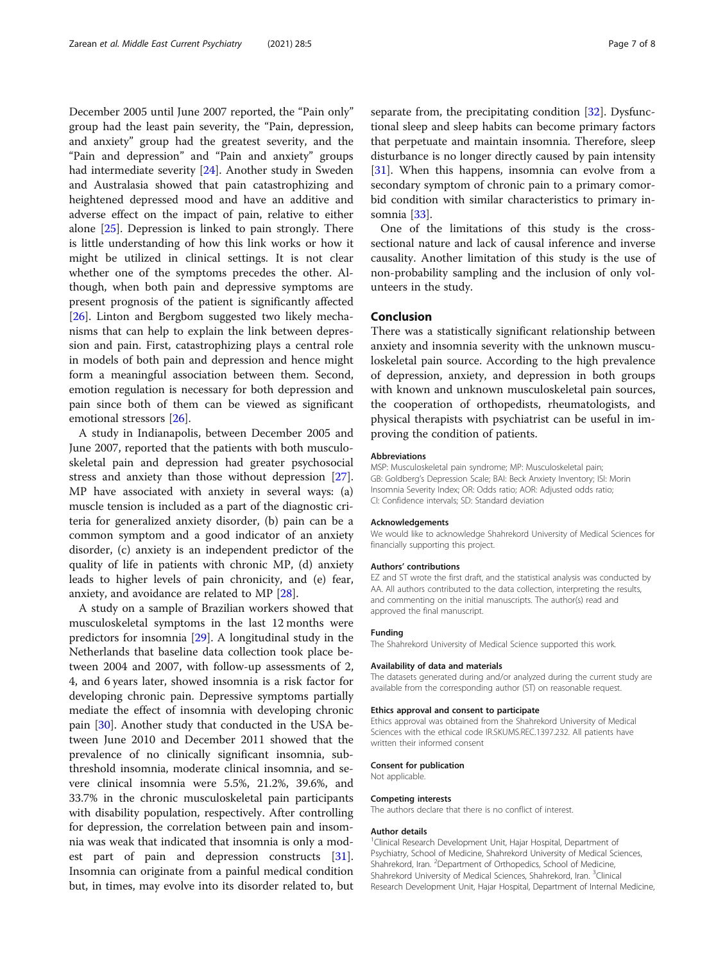December 2005 until June 2007 reported, the "Pain only" group had the least pain severity, the "Pain, depression, and anxiety" group had the greatest severity, and the "Pain and depression" and "Pain and anxiety" groups had intermediate severity [\[24\]](#page-7-0). Another study in Sweden and Australasia showed that pain catastrophizing and heightened depressed mood and have an additive and adverse effect on the impact of pain, relative to either alone [[25\]](#page-7-0). Depression is linked to pain strongly. There is little understanding of how this link works or how it might be utilized in clinical settings. It is not clear whether one of the symptoms precedes the other. Although, when both pain and depressive symptoms are present prognosis of the patient is significantly affected [[26\]](#page-7-0). Linton and Bergbom suggested two likely mechanisms that can help to explain the link between depression and pain. First, catastrophizing plays a central role in models of both pain and depression and hence might form a meaningful association between them. Second, emotion regulation is necessary for both depression and pain since both of them can be viewed as significant emotional stressors [[26\]](#page-7-0).

A study in Indianapolis, between December 2005 and June 2007, reported that the patients with both musculoskeletal pain and depression had greater psychosocial stress and anxiety than those without depression [\[27](#page-7-0)]. MP have associated with anxiety in several ways: (a) muscle tension is included as a part of the diagnostic criteria for generalized anxiety disorder, (b) pain can be a common symptom and a good indicator of an anxiety disorder, (c) anxiety is an independent predictor of the quality of life in patients with chronic MP, (d) anxiety leads to higher levels of pain chronicity, and (e) fear, anxiety, and avoidance are related to MP [\[28](#page-7-0)].

A study on a sample of Brazilian workers showed that musculoskeletal symptoms in the last 12 months were predictors for insomnia [\[29\]](#page-7-0). A longitudinal study in the Netherlands that baseline data collection took place between 2004 and 2007, with follow-up assessments of 2, 4, and 6 years later, showed insomnia is a risk factor for developing chronic pain. Depressive symptoms partially mediate the effect of insomnia with developing chronic pain [[30\]](#page-7-0). Another study that conducted in the USA between June 2010 and December 2011 showed that the prevalence of no clinically significant insomnia, subthreshold insomnia, moderate clinical insomnia, and severe clinical insomnia were 5.5%, 21.2%, 39.6%, and 33.7% in the chronic musculoskeletal pain participants with disability population, respectively. After controlling for depression, the correlation between pain and insomnia was weak that indicated that insomnia is only a modest part of pain and depression constructs [\[31](#page-7-0)]. Insomnia can originate from a painful medical condition but, in times, may evolve into its disorder related to, but separate from, the precipitating condition [\[32\]](#page-7-0). Dysfunctional sleep and sleep habits can become primary factors that perpetuate and maintain insomnia. Therefore, sleep disturbance is no longer directly caused by pain intensity [[31\]](#page-7-0). When this happens, insomnia can evolve from a secondary symptom of chronic pain to a primary comorbid condition with similar characteristics to primary insomnia [\[33](#page-7-0)].

One of the limitations of this study is the crosssectional nature and lack of causal inference and inverse causality. Another limitation of this study is the use of non-probability sampling and the inclusion of only volunteers in the study.

# Conclusion

There was a statistically significant relationship between anxiety and insomnia severity with the unknown musculoskeletal pain source. According to the high prevalence of depression, anxiety, and depression in both groups with known and unknown musculoskeletal pain sources, the cooperation of orthopedists, rheumatologists, and physical therapists with psychiatrist can be useful in improving the condition of patients.

#### Abbreviations

MSP: Musculoskeletal pain syndrome; MP: Musculoskeletal pain; GB: Goldberg's Depression Scale; BAI: Beck Anxiety Inventory; ISI: Morin Insomnia Severity Index; OR: Odds ratio; AOR: Adjusted odds ratio; CI: Confidence intervals; SD: Standard deviation

#### Acknowledgements

We would like to acknowledge Shahrekord University of Medical Sciences for financially supporting this project.

#### Authors' contributions

EZ and ST wrote the first draft, and the statistical analysis was conducted by AA. All authors contributed to the data collection, interpreting the results, and commenting on the initial manuscripts. The author(s) read and approved the final manuscript.

# Funding

The Shahrekord University of Medical Science supported this work.

#### Availability of data and materials

The datasets generated during and/or analyzed during the current study are available from the corresponding author (ST) on reasonable request.

#### Ethics approval and consent to participate

Ethics approval was obtained from the Shahrekord University of Medical Sciences with the ethical code IR.SKUMS.REC.1397.232. All patients have written their informed consent

### Consent for publication

Not applicable.

#### Competing interests

The authors declare that there is no conflict of interest.

#### Author details

<sup>1</sup> Clinical Research Development Unit, Hajar Hospital, Department of Psychiatry, School of Medicine, Shahrekord University of Medical Sciences, Shahrekord, Iran. <sup>2</sup>Department of Orthopedics, School of Medicine, Shahrekord University of Medical Sciences, Shahrekord, Iran. <sup>3</sup>Clinical Research Development Unit, Hajar Hospital, Department of Internal Medicine,